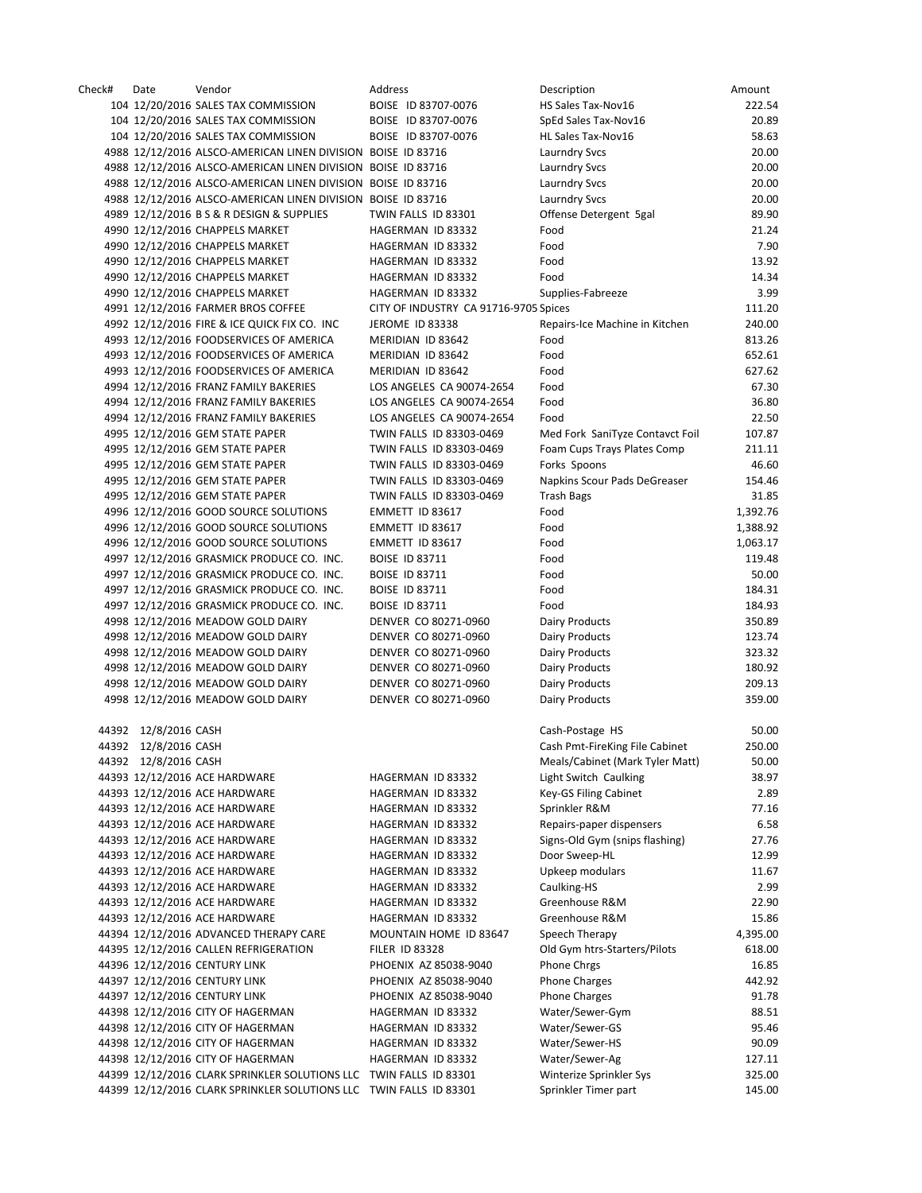| Check# | Date                 | Vendor                                                             | Address                               | Description                     | Amount   |
|--------|----------------------|--------------------------------------------------------------------|---------------------------------------|---------------------------------|----------|
|        |                      | 104 12/20/2016 SALES TAX COMMISSION                                | BOISE ID 83707-0076                   | HS Sales Tax-Nov16              | 222.54   |
|        |                      | 104 12/20/2016 SALES TAX COMMISSION                                | BOISE ID 83707-0076                   | SpEd Sales Tax-Nov16            | 20.89    |
|        |                      | 104 12/20/2016 SALES TAX COMMISSION                                | BOISE ID 83707-0076                   | HL Sales Tax-Nov16              | 58.63    |
|        |                      | 4988 12/12/2016 ALSCO-AMERICAN LINEN DIVISION BOISE ID 83716       |                                       | <b>Laurndry Svcs</b>            | 20.00    |
|        |                      | 4988 12/12/2016 ALSCO-AMERICAN LINEN DIVISION BOISE ID 83716       |                                       | Laurndry Svcs                   | 20.00    |
|        |                      | 4988 12/12/2016 ALSCO-AMERICAN LINEN DIVISION BOISE ID 83716       |                                       | <b>Laurndry Svcs</b>            | 20.00    |
|        |                      | 4988 12/12/2016 ALSCO-AMERICAN LINEN DIVISION BOISE ID 83716       |                                       | <b>Laurndry Svcs</b>            | 20.00    |
|        |                      | 4989 12/12/2016 B S & R DESIGN & SUPPLIES                          | TWIN FALLS ID 83301                   | Offense Detergent 5gal          | 89.90    |
|        |                      | 4990 12/12/2016 CHAPPELS MARKET                                    | HAGERMAN ID 83332                     | Food                            | 21.24    |
|        |                      | 4990 12/12/2016 CHAPPELS MARKET                                    | HAGERMAN ID 83332                     | Food                            | 7.90     |
|        |                      | 4990 12/12/2016 CHAPPELS MARKET                                    | HAGERMAN ID 83332                     | Food                            | 13.92    |
|        |                      |                                                                    |                                       |                                 |          |
|        |                      | 4990 12/12/2016 CHAPPELS MARKET                                    | HAGERMAN ID 83332                     | Food                            | 14.34    |
|        |                      | 4990 12/12/2016 CHAPPELS MARKET                                    | HAGERMAN ID 83332                     | Supplies-Fabreeze               | 3.99     |
|        |                      | 4991 12/12/2016 FARMER BROS COFFEE                                 | CITY OF INDUSTRY CA 91716-9705 Spices |                                 | 111.20   |
|        |                      | 4992 12/12/2016 FIRE & ICE QUICK FIX CO. INC                       | JEROME ID 83338                       | Repairs-Ice Machine in Kitchen  | 240.00   |
|        |                      | 4993 12/12/2016 FOODSERVICES OF AMERICA                            | MERIDIAN ID 83642                     | Food                            | 813.26   |
|        |                      | 4993 12/12/2016 FOODSERVICES OF AMERICA                            | MERIDIAN ID 83642                     | Food                            | 652.61   |
|        |                      | 4993 12/12/2016 FOODSERVICES OF AMERICA                            | MERIDIAN ID 83642                     | Food                            | 627.62   |
|        |                      | 4994 12/12/2016 FRANZ FAMILY BAKERIES                              | LOS ANGELES CA 90074-2654             | Food                            | 67.30    |
|        |                      | 4994 12/12/2016 FRANZ FAMILY BAKERIES                              | LOS ANGELES CA 90074-2654             | Food                            | 36.80    |
|        |                      | 4994 12/12/2016 FRANZ FAMILY BAKERIES                              | LOS ANGELES CA 90074-2654             | Food                            | 22.50    |
|        |                      | 4995 12/12/2016 GEM STATE PAPER                                    | TWIN FALLS ID 83303-0469              | Med Fork SaniTyze Contavct Foil | 107.87   |
|        |                      | 4995 12/12/2016 GEM STATE PAPER                                    | TWIN FALLS ID 83303-0469              | Foam Cups Trays Plates Comp     | 211.11   |
|        |                      | 4995 12/12/2016 GEM STATE PAPER                                    | TWIN FALLS ID 83303-0469              | Forks Spoons                    | 46.60    |
|        |                      | 4995 12/12/2016 GEM STATE PAPER                                    | TWIN FALLS ID 83303-0469              | Napkins Scour Pads DeGreaser    | 154.46   |
|        |                      | 4995 12/12/2016 GEM STATE PAPER                                    | TWIN FALLS ID 83303-0469              | <b>Trash Bags</b>               | 31.85    |
|        |                      | 4996 12/12/2016 GOOD SOURCE SOLUTIONS                              | EMMETT ID 83617                       | Food                            | 1,392.76 |
|        |                      | 4996 12/12/2016 GOOD SOURCE SOLUTIONS                              | EMMETT ID 83617                       | Food                            | 1,388.92 |
|        |                      | 4996 12/12/2016 GOOD SOURCE SOLUTIONS                              | EMMETT ID 83617                       | Food                            | 1,063.17 |
|        |                      | 4997 12/12/2016 GRASMICK PRODUCE CO. INC.                          | <b>BOISE ID 83711</b>                 | Food                            | 119.48   |
|        |                      | 4997 12/12/2016 GRASMICK PRODUCE CO. INC.                          | <b>BOISE ID 83711</b>                 | Food                            | 50.00    |
|        |                      |                                                                    | <b>BOISE ID 83711</b>                 | Food                            | 184.31   |
|        |                      | 4997 12/12/2016 GRASMICK PRODUCE CO. INC.                          |                                       |                                 | 184.93   |
|        |                      | 4997 12/12/2016 GRASMICK PRODUCE CO. INC.                          | <b>BOISE ID 83711</b>                 | Food                            |          |
|        |                      | 4998 12/12/2016 MEADOW GOLD DAIRY                                  | DENVER CO 80271-0960                  | <b>Dairy Products</b>           | 350.89   |
|        |                      | 4998 12/12/2016 MEADOW GOLD DAIRY                                  | DENVER CO 80271-0960                  | Dairy Products                  | 123.74   |
|        |                      | 4998 12/12/2016 MEADOW GOLD DAIRY                                  | DENVER CO 80271-0960                  | <b>Dairy Products</b>           | 323.32   |
|        |                      | 4998 12/12/2016 MEADOW GOLD DAIRY                                  | DENVER CO 80271-0960                  | Dairy Products                  | 180.92   |
|        |                      | 4998 12/12/2016 MEADOW GOLD DAIRY                                  | DENVER CO 80271-0960                  | <b>Dairy Products</b>           | 209.13   |
|        |                      | 4998 12/12/2016 MEADOW GOLD DAIRY                                  | DENVER CO 80271-0960                  | <b>Dairy Products</b>           | 359.00   |
|        | 44392 12/8/2016 CASH |                                                                    |                                       | Cash-Postage HS                 | 50.00    |
|        | 44392 12/8/2016 CASH |                                                                    |                                       | Cash Pmt-FireKing File Cabinet  | 250.00   |
|        | 44392 12/8/2016 CASH |                                                                    |                                       | Meals/Cabinet (Mark Tyler Matt) | 50.00    |
|        |                      | 44393 12/12/2016 ACE HARDWARE                                      |                                       | Light Switch Caulking           | 38.97    |
|        |                      |                                                                    | HAGERMAN ID 83332                     |                                 | 2.89     |
|        |                      | 44393 12/12/2016 ACE HARDWARE                                      | HAGERMAN ID 83332                     | Key-GS Filing Cabinet           |          |
|        |                      | 44393 12/12/2016 ACE HARDWARE                                      | HAGERMAN ID 83332                     | Sprinkler R&M                   | 77.16    |
|        |                      | 44393 12/12/2016 ACE HARDWARE                                      | HAGERMAN ID 83332                     | Repairs-paper dispensers        | 6.58     |
|        |                      | 44393 12/12/2016 ACE HARDWARE                                      | HAGERMAN ID 83332                     | Signs-Old Gym (snips flashing)  | 27.76    |
|        |                      | 44393 12/12/2016 ACE HARDWARE                                      | HAGERMAN ID 83332                     | Door Sweep-HL                   | 12.99    |
|        |                      | 44393 12/12/2016 ACE HARDWARE                                      | HAGERMAN ID 83332                     | Upkeep modulars                 | 11.67    |
|        |                      | 44393 12/12/2016 ACE HARDWARE                                      | HAGERMAN ID 83332                     | Caulking-HS                     | 2.99     |
|        |                      | 44393 12/12/2016 ACE HARDWARE                                      | HAGERMAN ID 83332                     | Greenhouse R&M                  | 22.90    |
|        |                      | 44393 12/12/2016 ACE HARDWARE                                      | HAGERMAN ID 83332                     | Greenhouse R&M                  | 15.86    |
|        |                      | 44394 12/12/2016 ADVANCED THERAPY CARE                             | MOUNTAIN HOME ID 83647                | Speech Therapy                  | 4,395.00 |
|        |                      | 44395 12/12/2016 CALLEN REFRIGERATION                              | <b>FILER ID 83328</b>                 | Old Gym htrs-Starters/Pilots    | 618.00   |
|        |                      | 44396 12/12/2016 CENTURY LINK                                      | PHOENIX AZ 85038-9040                 | Phone Chrgs                     | 16.85    |
|        |                      | 44397 12/12/2016 CENTURY LINK                                      | PHOENIX AZ 85038-9040                 | <b>Phone Charges</b>            | 442.92   |
|        |                      | 44397 12/12/2016 CENTURY LINK                                      | PHOENIX AZ 85038-9040                 | <b>Phone Charges</b>            | 91.78    |
|        |                      | 44398 12/12/2016 CITY OF HAGERMAN                                  | HAGERMAN ID 83332                     | Water/Sewer-Gym                 | 88.51    |
|        |                      | 44398 12/12/2016 CITY OF HAGERMAN                                  | HAGERMAN ID 83332                     | Water/Sewer-GS                  | 95.46    |
|        |                      | 44398 12/12/2016 CITY OF HAGERMAN                                  | HAGERMAN ID 83332                     | Water/Sewer-HS                  | 90.09    |
|        |                      | 44398 12/12/2016 CITY OF HAGERMAN                                  | HAGERMAN ID 83332                     | Water/Sewer-Ag                  | 127.11   |
|        |                      | 44399 12/12/2016 CLARK SPRINKLER SOLUTIONS LLC TWIN FALLS ID 83301 |                                       | Winterize Sprinkler Sys         | 325.00   |
|        |                      | 44399 12/12/2016 CLARK SPRINKLER SOLUTIONS LLC TWIN FALLS ID 83301 |                                       | Sprinkler Timer part            |          |
|        |                      |                                                                    |                                       |                                 | 145.00   |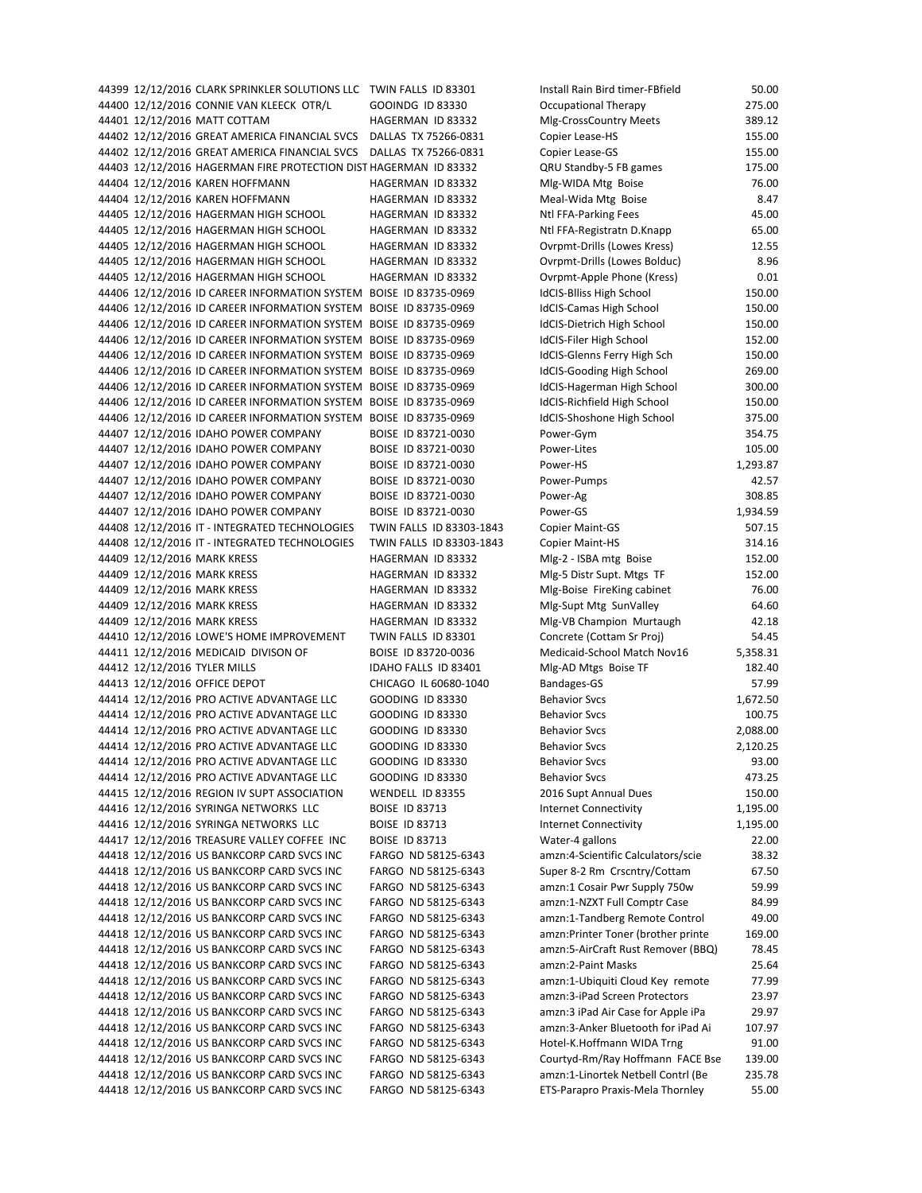44400 12/12/2016 CONNIE VAN KLEECK OTR/L GOOINDG ID 83330 Occupational Therapy 275.00 44401 12/12/2016 MATT COTTAM HAGERMAN ID 83332 Mlg‐CrossCountry Meets 389.12 44402 12/12/2016 GREAT AMERICA FINANCIAL SVCS DALLAS TX 75266‐0831 Copier Lease‐HS 155.00 44402 12/12/2016 GREAT AMERICA FINANCIAL SVCS DALLAS TX 75266-0831 Copier Lease-GS 155.00 44403 12/12/2016 HAGERMAN FIRE PROTECTION DIST HAGERMAN ID 83332 QRU Standby-5 FB games 175.00 44404 12/12/2016 KAREN HOFFMANN HAGERMAN ID 83332 MIg-WIDA Mtg Boise 76.00 44404 12/12/2016 KAREN HOFFMANN HAGERMAN ID 83332 Meal‐Wida Mtg Boise 8.47 44405 12/12/2016 HAGERMAN HIGH SCHOOL HAGERMAN ID 83332 Ntl FFA-Parking Fees 45.00 44405 12/12/2016 HAGERMAN HIGH SCHOOL HAGERMAN ID 83332 Ntl FFA‐Registratn D.Knapp 65.00 44405 12/12/2016 HAGERMAN HIGH SCHOOL HAGERMAN ID 83332 Ovrpmt‐Drills (Lowes Kress) 12.55 44405 12/12/2016 HAGERMAN HIGH SCHOOL HAGERMAN ID 83332 Ovrpmt‐Drills (Lowes Bolduc) 8.96 44405 12/12/2016 HAGERMAN HIGH SCHOOL HAGERMAN ID 83332 Ovrpmt-Apple Phone (Kress) 0.01 44406 12/12/2016 ID CAREER INFORMATION SYSTEM BOISE ID 83735‐0969 IdCIS‐Blliss High School 150.00 44406 12/12/2016 ID CAREER INFORMATION SYSTEM BOISE ID 83735‐0969 IdCIS‐Camas High School 150.00 44406 12/12/2016 ID CAREER INFORMATION SYSTEM BOISE ID 83735‐0969 IdCIS‐Dietrich High School 150.00 44406 12/12/2016 ID CAREER INFORMATION SYSTEM BOISE ID 83735-0969 IdCIS-Filer High School 152.00 44406 12/12/2016 ID CAREER INFORMATION SYSTEM BOISE ID 83735‐0969 IdCIS‐Glenns Ferry High Sch 150.00 44406 12/12/2016 ID CAREER INFORMATION SYSTEM BOISE ID 83735-0969 IdCIS-Gooding High School 269.00 44406 12/12/2016 ID CAREER INFORMATION SYSTEM BOISE ID 83735‐0969 IdCIS‐Hagerman High School 300.00 44406 12/12/2016 ID CAREER INFORMATION SYSTEM BOISE ID 83735‐0969 IdCIS‐Richfield High School 150.00 44406 12/12/2016 ID CAREER INFORMATION SYSTEM BOISE ID 83735‐0969 IdCIS‐Shoshone High School 375.00 44407 12/12/2016 IDAHO POWER COMPANY BOISE ID 83721‐0030 Power‐Gym 354.75 44407 12/12/2016 IDAHO POWER COMPANY BOISE ID 83721‐0030 Power‐Lites 105.00 44407 12/12/2016 IDAHO POWER COMPANY BOISE ID 83721-0030 Power-HS 2016 2016 1,293.87 44407 12/12/2016 IDAHO POWER COMPANY BOISE ID 83721‐0030 Power‐Pumps 42.57 44407 12/12/2016 IDAHO POWER COMPANY BOISE ID 83721‐0030 Power‐Ag 308.85 44407 12/12/2016 IDAHO POWER COMPANY BOISE ID 83721-0030 Power-GS 2,934.59 1,934.59 44408 12/12/2016 IT - INTEGRATED TECHNOLOGIES TWIN FALLS ID 83303-1843 Copier Maint-GS 507.15 44408 12/12/2016 IT ‐ INTEGRATED TECHNOLOGIES TWIN FALLS ID 83303‐1843 Copier Maint‐HS 314.16 44409 12/12/2016 MARK KRESS HAGERMAN ID 83332 Mlg‐2 ‐ ISBA mtg Boise 152.00 44409 12/12/2016 MARK KRESS HAGERMAN ID 83332 Mlg‐5 Distr Supt. Mtgs TF 152.00 44409 12/12/2016 MARK KRESS HAGERMAN ID 83332 Mlg-Boise FireKing cabinet 76.00 44409 12/12/2016 MARK KRESS HAGERMAN ID 83332 Mlg-Supt Mtg SunValley 64.60 44409 12/12/2016 MARK KRESS HAGERMAN ID 83332 Mlg-VB Champion Murtaugh 42.18 44410 12/12/2016 LOWE'S HOME IMPROVEMENT TWIN FALLS ID 83301 Concrete (Cottam Sr Proj) 54.45 44411 12/12/2016 MEDICAID DIVISON OF BOISE ID 83720-0036 Medicaid-School Match Nov16 5,358.31 44412 12/12/2016 TYLER MILLS **IDAHO FALLS ID 83401** MIg-AD Mtgs Boise TF 182.40 44413 12/12/2016 OFFICE DEPOT CHICAGO IL 60680-1040 Bandages-GS 57.99 57.99 44414 12/12/2016 PRO ACTIVE ADVANTAGE LLC GOODING ID 83330 Behavior Svcs 1,672.50 44414 12/12/2016 PRO ACTIVE ADVANTAGE LLC GOODING ID 83330 Behavior Svcs 30 100.75 44414 12/12/2016 PRO ACTIVE ADVANTAGE LLC GOODING ID 83330 Behavior Svcs 2,088.00 44414 12/12/2016 PRO ACTIVE ADVANTAGE LLC GOODING ID 83330 Behavior Svcs 2,120.25 44414 12/12/2016 PRO ACTIVE ADVANTAGE LLC GOODING ID 83330 Behavior Svcs 93.00 44414 12/12/2016 PRO ACTIVE ADVANTAGE LLC GOODING ID 83330 Behavior Svcs 473.25 44415 12/12/2016 REGION IV SUPT ASSOCIATION WENDELL ID 83355 2016 Supt Annual Dues 150.00 44416 12/12/2016 SYRINGA NETWORKS LLC BOISE ID 83713 Internet Connectivity 1,195.00 44416 12/12/2016 SYRINGA NETWORKS LLC BOISE ID 83713 Internet Connectivity 1,195.00 44417 12/12/2016 TREASURE VALLEY COFFEE INC BOISE ID 83713 Water-4 gallons 22.00 44418 12/12/2016 US BANKCORP CARD SVCS INC FARGO ND 58125‐6343 amzn:4‐Scientific Calculators/scie 38.32 44418 12/12/2016 US BANKCORP CARD SVCS INC<br>
FARGO ND 58125-6343 Super 8-2 Rm Crscntry/Cottam 67.50 44418 12/12/2016 US BANKCORP CARD SVCS INC FARGO ND 58125‐6343 amzn:1 Cosair Pwr Supply 750w 59.99 44418 12/12/2016 US BANKCORP CARD SVCS INC FARGO ND 58125‐6343 amzn:1‐NZXT Full Comptr Case 84.99 44418 12/12/2016 US BANKCORP CARD SVCS INC FARGO ND 58125‐6343 amzn:1‐Tandberg Remote Control 49.00 44418 12/12/2016 US BANKCORP CARD SVCS INC FARGO ND 58125‐6343 amzn:Printer Toner (brother printe 169.00 44418 12/12/2016 US BANKCORP CARD SVCS INC FARGO ND 58125‐6343 amzn:5‐AirCraft Rust Remover (BBQ) 78.45 44418 12/12/2016 US BANKCORP CARD SVCS INC FARGO ND 58125‐6343 amzn:2‐Paint Masks 25.64 44418 12/12/2016 US BANKCORP CARD SVCS INC FARGO ND 58125‐6343 amzn:1‐Ubiquiti Cloud Key remote 77.99 44418 12/12/2016 US BANKCORP CARD SVCS INC FARGO ND 58125‐6343 amzn:3‐iPad Screen Protectors 23.97 44418 12/12/2016 US BANKCORP CARD SVCS INC FARGO ND 58125‐6343 amzn:3 iPad Air Case for Apple iPa 29.97 44418 12/12/2016 US BANKCORP CARD SVCS INC FARGO ND 58125‐6343 amzn:3‐Anker Bluetooth for iPad Ai 107.97 44418 12/12/2016 US BANKCORP CARD SVCS INC FARGO ND 58125‐6343 Hotel‐K.Hoffmann WIDA Trng 91.00 44418 12/12/2016 US BANKCORP CARD SVCS INC FARGO ND 58125‐6343 Courtyd‐Rm/Ray Hoffmann FACE Bse 139.00 44418 12/12/2016 US BANKCORP CARD SVCS INC FARGO ND 58125‐6343 amzn:1‐Linortek Netbell Contrl (Be 235.78 44418 12/12/2016 US BANKCORP CARD SVCS INC FARGO ND 58125‐6343 ETS‐Parapro Praxis‐Mela Thornley 55.00

44399 12/12/2016 CLARK SPRINKLER SOLUTIONS LLC TWIN FALLS ID 83301 Install Rain Bird timer-FBfield 50.00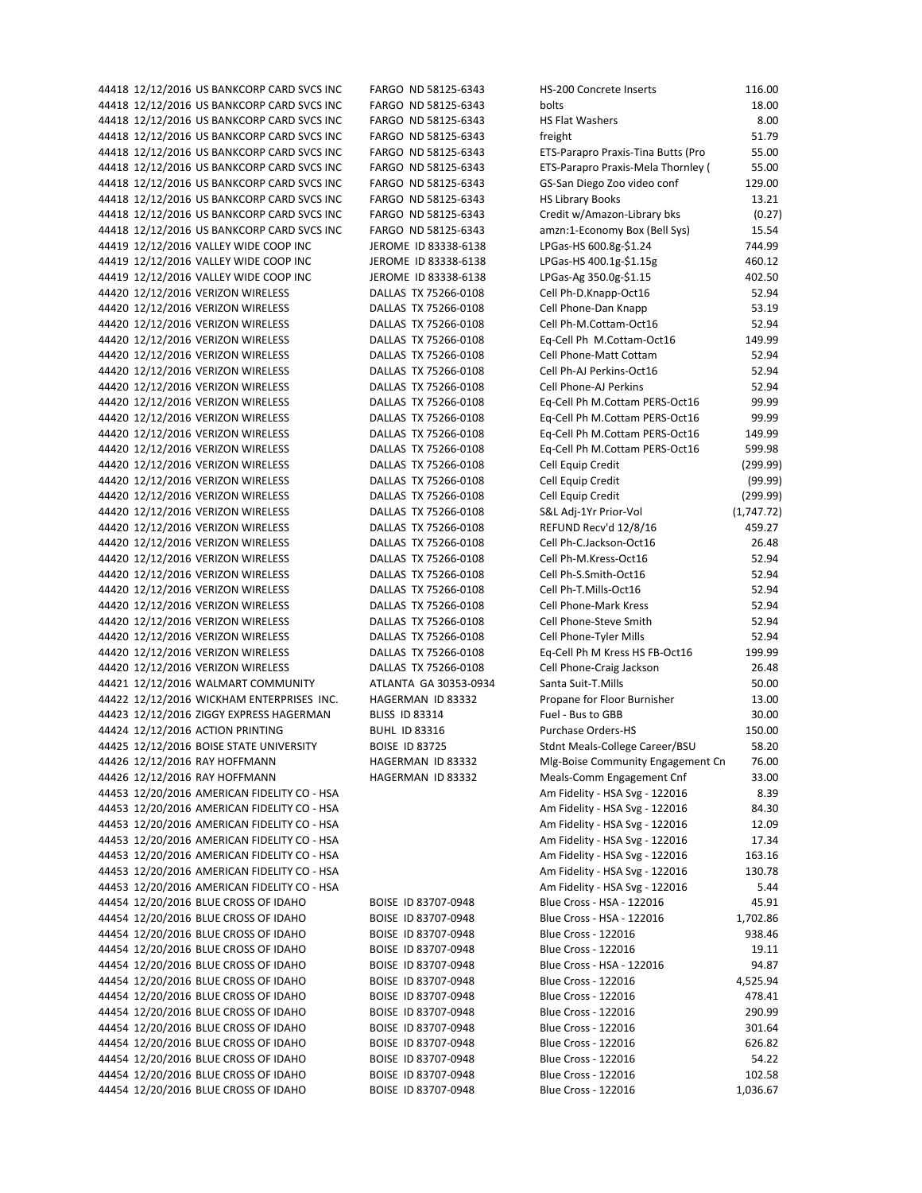|  | 44418 12/12/2016 US BANKCORP CARD SVCS INC                             | FARGO ND 58125-6343                          | HS-200 Concrete Inserts                          | 116.00             |
|--|------------------------------------------------------------------------|----------------------------------------------|--------------------------------------------------|--------------------|
|  | 44418 12/12/2016 US BANKCORP CARD SVCS INC                             | FARGO ND 58125-6343                          | bolts                                            | 18.00              |
|  | 44418 12/12/2016 US BANKCORP CARD SVCS INC                             | FARGO ND 58125-6343                          | <b>HS Flat Washers</b>                           | 8.00               |
|  | 44418 12/12/2016 US BANKCORP CARD SVCS INC                             | FARGO ND 58125-6343                          | freight                                          | 51.79              |
|  | 44418 12/12/2016 US BANKCORP CARD SVCS INC                             | FARGO ND 58125-6343                          | ETS-Parapro Praxis-Tina Butts (Pro               | 55.00              |
|  | 44418 12/12/2016 US BANKCORP CARD SVCS INC                             | FARGO ND 58125-6343                          | ETS-Parapro Praxis-Mela Thornley (               | 55.00              |
|  | 44418 12/12/2016 US BANKCORP CARD SVCS INC                             | FARGO ND 58125-6343                          | GS-San Diego Zoo video conf                      | 129.00             |
|  | 44418 12/12/2016 US BANKCORP CARD SVCS INC                             | FARGO ND 58125-6343                          | <b>HS Library Books</b>                          | 13.21              |
|  | 44418 12/12/2016 US BANKCORP CARD SVCS INC                             | FARGO ND 58125-6343                          | Credit w/Amazon-Library bks                      | (0.27)             |
|  | 44418 12/12/2016 US BANKCORP CARD SVCS INC                             | FARGO ND 58125-6343                          | amzn:1-Economy Box (Bell Sys)                    | 15.54              |
|  | 44419 12/12/2016 VALLEY WIDE COOP INC                                  | JEROME ID 83338-6138                         | LPGas-HS 600.8g-\$1.24                           | 744.99             |
|  | 44419 12/12/2016 VALLEY WIDE COOP INC                                  | JEROME ID 83338-6138                         | LPGas-HS 400.1g-\$1.15g                          | 460.12             |
|  | 44419 12/12/2016 VALLEY WIDE COOP INC                                  | JEROME ID 83338-6138                         | LPGas-Ag 350.0g-\$1.15                           | 402.50             |
|  | 44420 12/12/2016 VERIZON WIRELESS                                      | DALLAS TX 75266-0108                         | Cell Ph-D.Knapp-Oct16                            | 52.94              |
|  | 44420 12/12/2016 VERIZON WIRELESS                                      | DALLAS TX 75266-0108                         | Cell Phone-Dan Knapp                             | 53.19              |
|  | 44420 12/12/2016 VERIZON WIRELESS                                      | DALLAS TX 75266-0108                         | Cell Ph-M.Cottam-Oct16                           | 52.94              |
|  | 44420 12/12/2016 VERIZON WIRELESS                                      | DALLAS TX 75266-0108                         | Eq-Cell Ph M.Cottam-Oct16                        | 149.99             |
|  | 44420 12/12/2016 VERIZON WIRELESS                                      | DALLAS TX 75266-0108                         | Cell Phone-Matt Cottam                           | 52.94              |
|  | 44420 12/12/2016 VERIZON WIRELESS                                      | DALLAS TX 75266-0108                         | Cell Ph-AJ Perkins-Oct16                         | 52.94              |
|  | 44420 12/12/2016 VERIZON WIRELESS                                      | DALLAS TX 75266-0108                         | <b>Cell Phone-AJ Perkins</b>                     | 52.94              |
|  | 44420 12/12/2016 VERIZON WIRELESS                                      | DALLAS TX 75266-0108                         | Eq-Cell Ph M.Cottam PERS-Oct16                   | 99.99              |
|  | 44420 12/12/2016 VERIZON WIRELESS                                      | DALLAS TX 75266-0108                         | Eq-Cell Ph M.Cottam PERS-Oct16                   | 99.99              |
|  | 44420 12/12/2016 VERIZON WIRELESS                                      | DALLAS TX 75266-0108                         | Eq-Cell Ph M.Cottam PERS-Oct16                   | 149.99             |
|  | 44420 12/12/2016 VERIZON WIRELESS                                      | DALLAS TX 75266-0108                         | Eq-Cell Ph M.Cottam PERS-Oct16                   | 599.98             |
|  | 44420 12/12/2016 VERIZON WIRELESS                                      | DALLAS TX 75266-0108                         | Cell Equip Credit                                | (299.99)           |
|  | 44420 12/12/2016 VERIZON WIRELESS                                      | DALLAS TX 75266-0108                         | Cell Equip Credit                                | (99.99)<br>(299.99 |
|  | 44420 12/12/2016 VERIZON WIRELESS                                      | DALLAS TX 75266-0108                         | Cell Equip Credit                                |                    |
|  | 44420 12/12/2016 VERIZON WIRELESS                                      | DALLAS TX 75266-0108                         | S&L Adj-1Yr Prior-Vol                            | (1,747.72)         |
|  | 44420 12/12/2016 VERIZON WIRELESS                                      | DALLAS TX 75266-0108<br>DALLAS TX 75266-0108 | REFUND Recv'd 12/8/16<br>Cell Ph-C.Jackson-Oct16 | 459.27<br>26.48    |
|  | 44420 12/12/2016 VERIZON WIRELESS<br>44420 12/12/2016 VERIZON WIRELESS | DALLAS TX 75266-0108                         | Cell Ph-M.Kress-Oct16                            | 52.94              |
|  | 44420 12/12/2016 VERIZON WIRELESS                                      | DALLAS TX 75266-0108                         | Cell Ph-S.Smith-Oct16                            | 52.94              |
|  | 44420 12/12/2016 VERIZON WIRELESS                                      | DALLAS TX 75266-0108                         | Cell Ph-T.Mills-Oct16                            | 52.94              |
|  | 44420 12/12/2016 VERIZON WIRELESS                                      | DALLAS TX 75266-0108                         | <b>Cell Phone-Mark Kress</b>                     | 52.94              |
|  | 44420 12/12/2016 VERIZON WIRELESS                                      | DALLAS TX 75266-0108                         | Cell Phone-Steve Smith                           | 52.94              |
|  | 44420 12/12/2016 VERIZON WIRELESS                                      | DALLAS TX 75266-0108                         | Cell Phone-Tyler Mills                           | 52.94              |
|  | 44420 12/12/2016 VERIZON WIRELESS                                      | DALLAS TX 75266-0108                         | Eq-Cell Ph M Kress HS FB-Oct16                   | 199.99             |
|  | 44420 12/12/2016 VERIZON WIRELESS                                      | DALLAS TX 75266-0108                         | Cell Phone-Craig Jackson                         | 26.48              |
|  | 44421 12/12/2016 WALMART COMMUNITY                                     | ATLANTA GA 30353-0934                        | Santa Suit-T.Mills                               | 50.00              |
|  | 44422 12/12/2016 WICKHAM ENTERPRISES INC.                              | HAGERMAN ID 83332                            | Propane for Floor Burnisher                      | 13.00              |
|  | 44423 12/12/2016 ZIGGY EXPRESS HAGERMAN                                | <b>BLISS ID 83314</b>                        | Fuel - Bus to GBB                                | 30.00              |
|  | 44424 12/12/2016 ACTION PRINTING                                       | <b>BUHL ID 83316</b>                         | <b>Purchase Orders-HS</b>                        | 150.00             |
|  | 44425 12/12/2016 BOISE STATE UNIVERSITY                                | <b>BOISE ID 83725</b>                        | Stdnt Meals-College Career/BSU                   | 58.20              |
|  | 44426 12/12/2016 RAY HOFFMANN                                          | HAGERMAN ID 83332                            | Mlg-Boise Community Engagement Cn                | 76.00              |
|  | 44426 12/12/2016 RAY HOFFMANN                                          | HAGERMAN ID 83332                            | Meals-Comm Engagement Cnf                        | 33.00              |
|  | 44453 12/20/2016 AMERICAN FIDELITY CO - HSA                            |                                              | Am Fidelity - HSA Svg - 122016                   | 8.39               |
|  | 44453 12/20/2016 AMERICAN FIDELITY CO - HSA                            |                                              | Am Fidelity - HSA Svg - 122016                   | 84.30              |
|  | 44453 12/20/2016 AMERICAN FIDELITY CO - HSA                            |                                              | Am Fidelity - HSA Svg - 122016                   | 12.09              |
|  | 44453 12/20/2016 AMERICAN FIDELITY CO - HSA                            |                                              | Am Fidelity - HSA Svg - 122016                   | 17.34              |
|  | 44453 12/20/2016 AMERICAN FIDELITY CO - HSA                            |                                              | Am Fidelity - HSA Svg - 122016                   | 163.16             |
|  | 44453 12/20/2016 AMERICAN FIDELITY CO - HSA                            |                                              | Am Fidelity - HSA Svg - 122016                   | 130.78             |
|  | 44453 12/20/2016 AMERICAN FIDELITY CO - HSA                            |                                              | Am Fidelity - HSA Svg - 122016                   | 5.44               |
|  | 44454 12/20/2016 BLUE CROSS OF IDAHO                                   | BOISE ID 83707-0948                          | Blue Cross - HSA - 122016                        | 45.91              |
|  | 44454 12/20/2016 BLUE CROSS OF IDAHO                                   | BOISE ID 83707-0948                          | Blue Cross - HSA - 122016                        | 1,702.86           |
|  | 44454 12/20/2016 BLUE CROSS OF IDAHO                                   | BOISE ID 83707-0948                          | <b>Blue Cross - 122016</b>                       | 938.46             |
|  | 44454 12/20/2016 BLUE CROSS OF IDAHO                                   | BOISE ID 83707-0948                          | <b>Blue Cross - 122016</b>                       | 19.11              |
|  | 44454 12/20/2016 BLUE CROSS OF IDAHO                                   | BOISE ID 83707-0948                          | Blue Cross - HSA - 122016                        | 94.87              |
|  | 44454 12/20/2016 BLUE CROSS OF IDAHO                                   | BOISE ID 83707-0948                          | <b>Blue Cross - 122016</b>                       | 4,525.94           |
|  | 44454 12/20/2016 BLUE CROSS OF IDAHO                                   | BOISE ID 83707-0948                          | <b>Blue Cross - 122016</b>                       | 478.41             |
|  | 44454 12/20/2016 BLUE CROSS OF IDAHO                                   | BOISE ID 83707-0948                          | <b>Blue Cross - 122016</b>                       | 290.99             |
|  | 44454 12/20/2016 BLUE CROSS OF IDAHO                                   | BOISE ID 83707-0948                          | <b>Blue Cross - 122016</b>                       | 301.64             |
|  | 44454 12/20/2016 BLUE CROSS OF IDAHO                                   | BOISE ID 83707-0948                          | <b>Blue Cross - 122016</b>                       | 626.82             |
|  | 44454 12/20/2016 BLUE CROSS OF IDAHO                                   | BOISE ID 83707-0948                          | <b>Blue Cross - 122016</b>                       | 54.22              |
|  | 44454 12/20/2016 BLUE CROSS OF IDAHO                                   | BOISE ID 83707-0948                          | <b>Blue Cross - 122016</b>                       | 102.58             |
|  | 44454 12/20/2016 BLUE CROSS OF IDAHO                                   | BOISE ID 83707-0948                          | <b>Blue Cross - 122016</b>                       | 1,036.67           |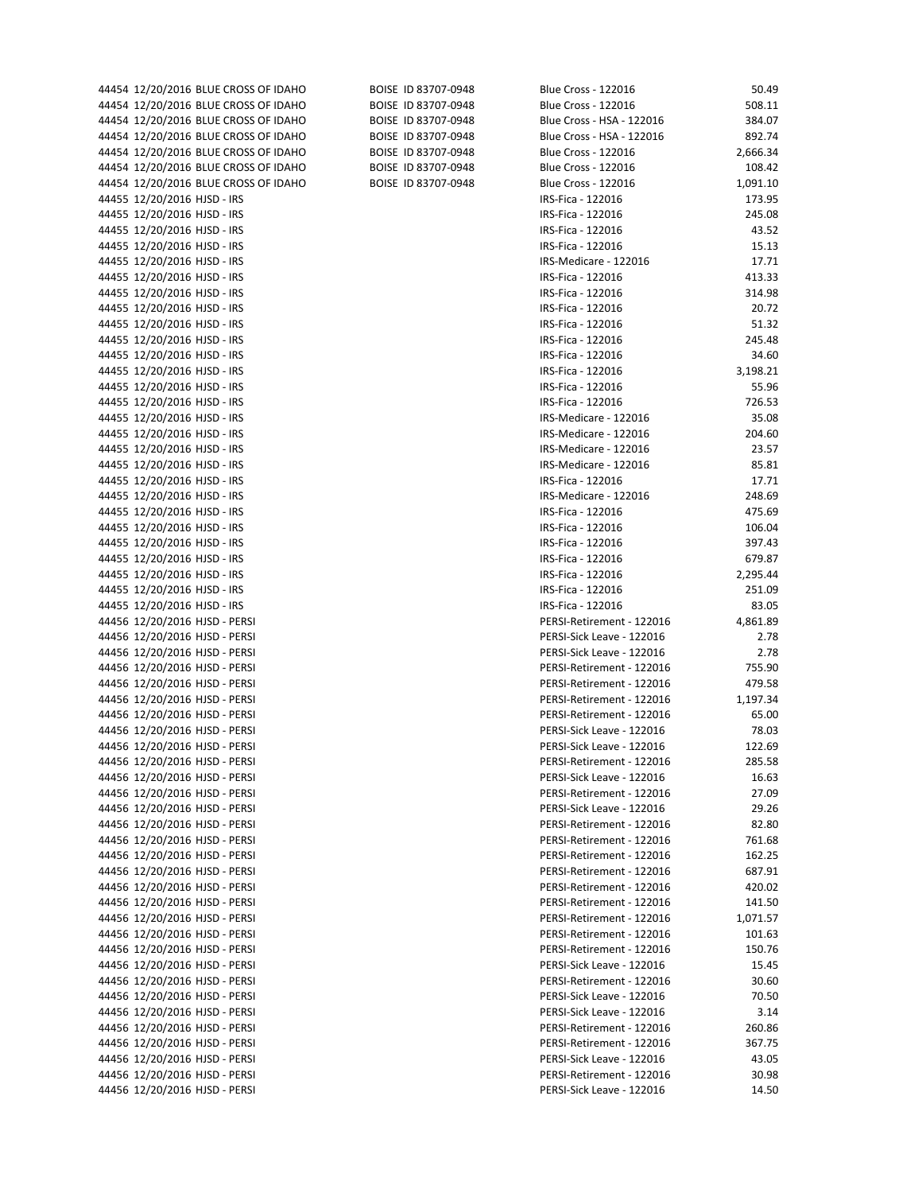| 44454 12/20/2016 BLUE CROSS OF IDAHO | BOISE ID 83707-0948 | <b>Blue Cross - 122016</b> | 50.49    |
|--------------------------------------|---------------------|----------------------------|----------|
| 44454 12/20/2016 BLUE CROSS OF IDAHO | BOISE ID 83707-0948 | Blue Cross - 122016        | 508.11   |
| 44454 12/20/2016 BLUE CROSS OF IDAHO | BOISE ID 83707-0948 | Blue Cross - HSA - 122016  | 384.07   |
| 44454 12/20/2016 BLUE CROSS OF IDAHO | BOISE ID 83707-0948 | Blue Cross - HSA - 122016  | 892.74   |
|                                      |                     |                            |          |
| 44454 12/20/2016 BLUE CROSS OF IDAHO | BOISE ID 83707-0948 | Blue Cross - 122016        | 2,666.34 |
| 44454 12/20/2016 BLUE CROSS OF IDAHO | BOISE ID 83707-0948 | Blue Cross - 122016        | 108.42   |
| 44454 12/20/2016 BLUE CROSS OF IDAHO | BOISE ID 83707-0948 | <b>Blue Cross - 122016</b> | 1,091.10 |
|                                      |                     |                            |          |
| 44455 12/20/2016 HJSD - IRS          |                     | IRS-Fica - 122016          | 173.95   |
| 44455 12/20/2016 HJSD - IRS          |                     | IRS-Fica - 122016          | 245.08   |
| 44455 12/20/2016 HJSD - IRS          |                     | IRS-Fica - 122016          | 43.52    |
| 44455 12/20/2016 HJSD - IRS          |                     | IRS-Fica - 122016          | 15.13    |
|                                      |                     |                            |          |
| 44455 12/20/2016 HJSD - IRS          |                     | IRS-Medicare - 122016      | 17.71    |
| 44455 12/20/2016 HJSD - IRS          |                     | IRS-Fica - 122016          | 413.33   |
| 44455 12/20/2016 HJSD - IRS          |                     | IRS-Fica - 122016          | 314.98   |
| 44455 12/20/2016 HJSD - IRS          |                     | IRS-Fica - 122016          | 20.72    |
|                                      |                     |                            |          |
| 44455 12/20/2016 HJSD - IRS          |                     | IRS-Fica - 122016          | 51.32    |
| 44455 12/20/2016 HJSD - IRS          |                     | IRS-Fica - 122016          | 245.48   |
| 44455 12/20/2016 HJSD - IRS          |                     | IRS-Fica - 122016          | 34.60    |
| 44455 12/20/2016 HJSD - IRS          |                     | IRS-Fica - 122016          | 3,198.21 |
|                                      |                     |                            |          |
| 44455 12/20/2016 HJSD - IRS          |                     | IRS-Fica - 122016          | 55.96    |
| 44455 12/20/2016 HJSD - IRS          |                     | IRS-Fica - 122016          | 726.53   |
| 44455 12/20/2016 HJSD - IRS          |                     | IRS-Medicare - 122016      | 35.08    |
| 44455 12/20/2016 HJSD - IRS          |                     | IRS-Medicare - 122016      | 204.60   |
|                                      |                     |                            |          |
| 44455 12/20/2016 HJSD - IRS          |                     | IRS-Medicare - 122016      | 23.57    |
| 44455 12/20/2016 HJSD - IRS          |                     | IRS-Medicare - 122016      | 85.81    |
| 44455 12/20/2016 HJSD - IRS          |                     | IRS-Fica - 122016          | 17.71    |
| 44455 12/20/2016 HJSD - IRS          |                     | IRS-Medicare - 122016      | 248.69   |
|                                      |                     |                            |          |
| 44455 12/20/2016 HJSD - IRS          |                     | IRS-Fica - 122016          | 475.69   |
| 44455 12/20/2016 HJSD - IRS          |                     | IRS-Fica - 122016          | 106.04   |
| 44455 12/20/2016 HJSD - IRS          |                     | IRS-Fica - 122016          | 397.43   |
| 44455 12/20/2016 HJSD - IRS          |                     | IRS-Fica - 122016          | 679.87   |
|                                      |                     |                            |          |
| 44455 12/20/2016 HJSD - IRS          |                     | IRS-Fica - 122016          | 2,295.44 |
| 44455 12/20/2016 HJSD - IRS          |                     | IRS-Fica - 122016          | 251.09   |
| 44455 12/20/2016 HJSD - IRS          |                     | IRS-Fica - 122016          | 83.05    |
| 44456 12/20/2016 HJSD - PERSI        |                     | PERSI-Retirement - 122016  | 4,861.89 |
|                                      |                     |                            |          |
| 44456 12/20/2016 HJSD - PERSI        |                     | PERSI-Sick Leave - 122016  | 2.78     |
| 44456 12/20/2016 HJSD - PERSI        |                     | PERSI-Sick Leave - 122016  | 2.78     |
| 44456 12/20/2016 HJSD - PERSI        |                     | PERSI-Retirement - 122016  | 755.90   |
| 44456 12/20/2016 HJSD - PERSI        |                     | PERSI-Retirement - 122016  | 479.58   |
|                                      |                     |                            |          |
| 44456 12/20/2016 HJSD - PERSI        |                     | PERSI-Retirement - 122016  | 1,197.34 |
| 44456 12/20/2016 HJSD - PERSI        |                     | PERSI-Retirement - 122016  | 65.00    |
| 44456 12/20/2016 HJSD - PERSI        |                     | PERSI-Sick Leave - 122016  | 78.03    |
| 44456 12/20/2016 HJSD - PERSI        |                     | PERSI-Sick Leave - 122016  | 122.69   |
|                                      |                     |                            |          |
| 44456 12/20/2016 HJSD - PERSI        |                     | PERSI-Retirement - 122016  | 285.58   |
| 44456 12/20/2016 HJSD - PERSI        |                     | PERSI-Sick Leave - 122016  | 16.63    |
| 44456 12/20/2016 HJSD - PERSI        |                     | PERSI-Retirement - 122016  | 27.09    |
| 44456 12/20/2016 HJSD - PERSI        |                     | PERSI-Sick Leave - 122016  | 29.26    |
|                                      |                     |                            |          |
| 44456 12/20/2016 HJSD - PERSI        |                     | PERSI-Retirement - 122016  | 82.80    |
| 44456 12/20/2016 HJSD - PERSI        |                     | PERSI-Retirement - 122016  | 761.68   |
| 44456 12/20/2016 HJSD - PERSI        |                     | PERSI-Retirement - 122016  | 162.25   |
| 44456 12/20/2016 HJSD - PERSI        |                     | PERSI-Retirement - 122016  | 687.91   |
|                                      |                     |                            |          |
| 44456 12/20/2016 HJSD - PERSI        |                     | PERSI-Retirement - 122016  | 420.02   |
| 44456 12/20/2016 HJSD - PERSI        |                     | PERSI-Retirement - 122016  | 141.50   |
| 44456 12/20/2016 HJSD - PERSI        |                     | PERSI-Retirement - 122016  | 1,071.57 |
| 44456 12/20/2016 HJSD - PERSI        |                     | PERSI-Retirement - 122016  | 101.63   |
|                                      |                     |                            |          |
| 44456 12/20/2016 HJSD - PERSI        |                     | PERSI-Retirement - 122016  | 150.76   |
| 44456 12/20/2016 HJSD - PERSI        |                     | PERSI-Sick Leave - 122016  | 15.45    |
| 44456 12/20/2016 HJSD - PERSI        |                     | PERSI-Retirement - 122016  | 30.60    |
| 44456 12/20/2016 HJSD - PERSI        |                     | PERSI-Sick Leave - 122016  | 70.50    |
|                                      |                     |                            |          |
| 44456 12/20/2016 HJSD - PERSI        |                     | PERSI-Sick Leave - 122016  | 3.14     |
| 44456 12/20/2016 HJSD - PERSI        |                     | PERSI-Retirement - 122016  | 260.86   |
| 44456 12/20/2016 HJSD - PERSI        |                     | PERSI-Retirement - 122016  | 367.75   |
| 44456 12/20/2016 HJSD - PERSI        |                     | PERSI-Sick Leave - 122016  | 43.05    |
|                                      |                     |                            |          |
| 44456 12/20/2016 HJSD - PERSI        |                     | PERSI-Retirement - 122016  | 30.98    |
| 44456 12/20/2016 HJSD - PERSI        |                     | PERSI-Sick Leave - 122016  | 14.50    |
|                                      |                     |                            |          |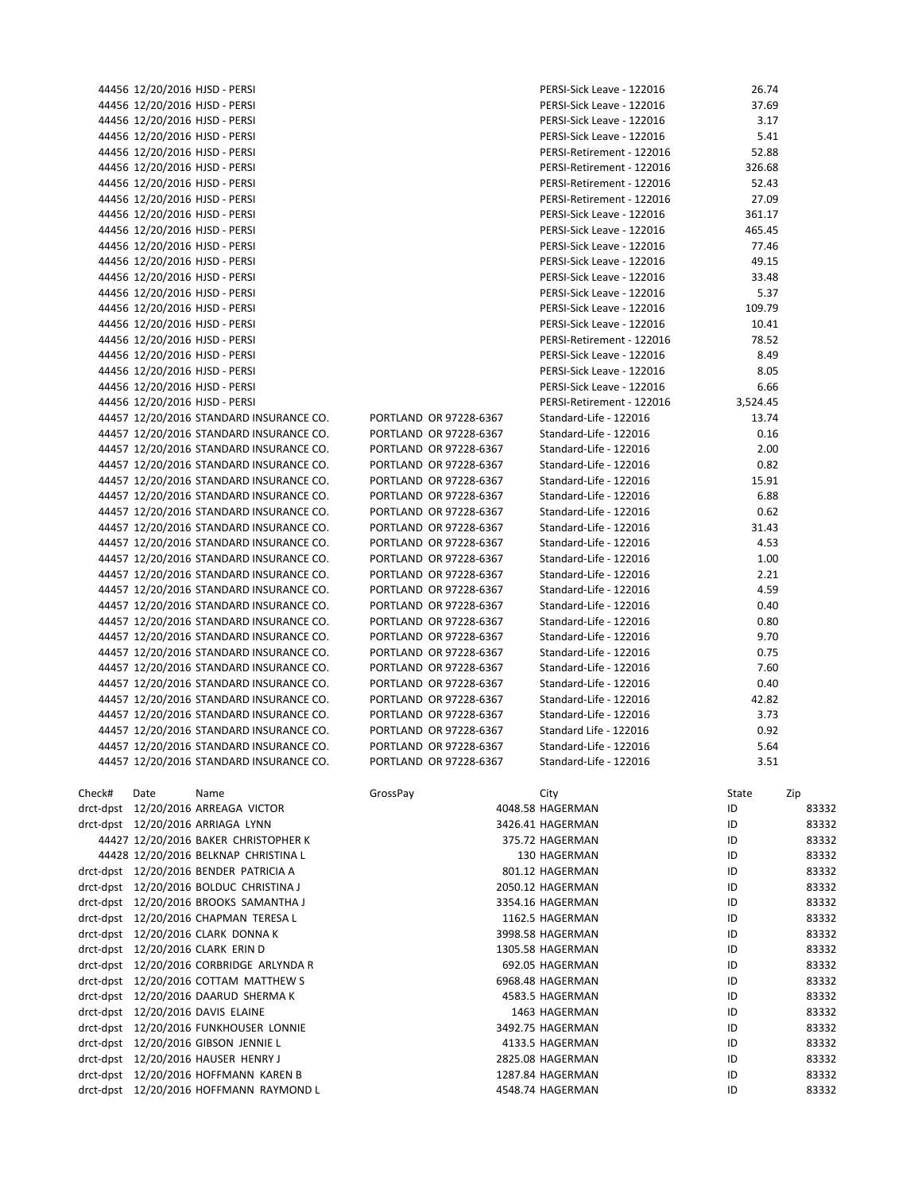|        | 44456 12/20/2016 HJSD - PERSI |                                            |          |                        | PERSI-Sick Leave - 122016 | 26.74    |       |
|--------|-------------------------------|--------------------------------------------|----------|------------------------|---------------------------|----------|-------|
|        | 44456 12/20/2016 HJSD - PERSI |                                            |          |                        | PERSI-Sick Leave - 122016 | 37.69    |       |
|        | 44456 12/20/2016 HJSD - PERSI |                                            |          |                        | PERSI-Sick Leave - 122016 | 3.17     |       |
|        | 44456 12/20/2016 HJSD - PERSI |                                            |          |                        | PERSI-Sick Leave - 122016 | 5.41     |       |
|        | 44456 12/20/2016 HJSD - PERSI |                                            |          |                        | PERSI-Retirement - 122016 | 52.88    |       |
|        | 44456 12/20/2016 HJSD - PERSI |                                            |          |                        | PERSI-Retirement - 122016 | 326.68   |       |
|        | 44456 12/20/2016 HJSD - PERSI |                                            |          |                        | PERSI-Retirement - 122016 | 52.43    |       |
|        | 44456 12/20/2016 HJSD - PERSI |                                            |          |                        | PERSI-Retirement - 122016 | 27.09    |       |
|        | 44456 12/20/2016 HJSD - PERSI |                                            |          |                        | PERSI-Sick Leave - 122016 | 361.17   |       |
|        | 44456 12/20/2016 HJSD - PERSI |                                            |          |                        | PERSI-Sick Leave - 122016 | 465.45   |       |
|        | 44456 12/20/2016 HJSD - PERSI |                                            |          |                        | PERSI-Sick Leave - 122016 | 77.46    |       |
|        | 44456 12/20/2016 HJSD - PERSI |                                            |          |                        | PERSI-Sick Leave - 122016 | 49.15    |       |
|        |                               |                                            |          |                        |                           |          |       |
|        | 44456 12/20/2016 HJSD - PERSI |                                            |          |                        | PERSI-Sick Leave - 122016 | 33.48    |       |
|        | 44456 12/20/2016 HJSD - PERSI |                                            |          |                        | PERSI-Sick Leave - 122016 | 5.37     |       |
|        | 44456 12/20/2016 HJSD - PERSI |                                            |          |                        | PERSI-Sick Leave - 122016 | 109.79   |       |
|        | 44456 12/20/2016 HJSD - PERSI |                                            |          |                        | PERSI-Sick Leave - 122016 | 10.41    |       |
|        | 44456 12/20/2016 HJSD - PERSI |                                            |          |                        | PERSI-Retirement - 122016 | 78.52    |       |
|        | 44456 12/20/2016 HJSD - PERSI |                                            |          |                        | PERSI-Sick Leave - 122016 | 8.49     |       |
|        | 44456 12/20/2016 HJSD - PERSI |                                            |          |                        | PERSI-Sick Leave - 122016 | 8.05     |       |
|        | 44456 12/20/2016 HJSD - PERSI |                                            |          |                        | PERSI-Sick Leave - 122016 | 6.66     |       |
|        | 44456 12/20/2016 HJSD - PERSI |                                            |          |                        | PERSI-Retirement - 122016 | 3,524.45 |       |
|        |                               | 44457 12/20/2016 STANDARD INSURANCE CO.    |          | PORTLAND OR 97228-6367 | Standard-Life - 122016    | 13.74    |       |
|        |                               | 44457 12/20/2016 STANDARD INSURANCE CO.    |          | PORTLAND OR 97228-6367 | Standard-Life - 122016    | 0.16     |       |
|        |                               | 44457 12/20/2016 STANDARD INSURANCE CO.    |          | PORTLAND OR 97228-6367 | Standard-Life - 122016    | 2.00     |       |
|        |                               | 44457 12/20/2016 STANDARD INSURANCE CO.    |          | PORTLAND OR 97228-6367 | Standard-Life - 122016    | 0.82     |       |
|        |                               | 44457 12/20/2016 STANDARD INSURANCE CO.    |          | PORTLAND OR 97228-6367 | Standard-Life - 122016    | 15.91    |       |
|        |                               |                                            |          |                        |                           |          |       |
|        |                               | 44457 12/20/2016 STANDARD INSURANCE CO.    |          | PORTLAND OR 97228-6367 | Standard-Life - 122016    | 6.88     |       |
|        |                               | 44457 12/20/2016 STANDARD INSURANCE CO.    |          | PORTLAND OR 97228-6367 | Standard-Life - 122016    | 0.62     |       |
|        |                               | 44457 12/20/2016 STANDARD INSURANCE CO.    |          | PORTLAND OR 97228-6367 | Standard-Life - 122016    | 31.43    |       |
|        |                               | 44457 12/20/2016 STANDARD INSURANCE CO.    |          | PORTLAND OR 97228-6367 | Standard-Life - 122016    | 4.53     |       |
|        |                               | 44457 12/20/2016 STANDARD INSURANCE CO.    |          | PORTLAND OR 97228-6367 | Standard-Life - 122016    | 1.00     |       |
|        |                               | 44457 12/20/2016 STANDARD INSURANCE CO.    |          | PORTLAND OR 97228-6367 | Standard-Life - 122016    | 2.21     |       |
|        |                               | 44457 12/20/2016 STANDARD INSURANCE CO.    |          | PORTLAND OR 97228-6367 | Standard-Life - 122016    | 4.59     |       |
|        |                               | 44457 12/20/2016 STANDARD INSURANCE CO.    |          | PORTLAND OR 97228-6367 | Standard-Life - 122016    | 0.40     |       |
|        |                               | 44457 12/20/2016 STANDARD INSURANCE CO.    |          | PORTLAND OR 97228-6367 | Standard-Life - 122016    | 0.80     |       |
|        |                               | 44457 12/20/2016 STANDARD INSURANCE CO.    |          | PORTLAND OR 97228-6367 | Standard-Life - 122016    | 9.70     |       |
|        |                               | 44457 12/20/2016 STANDARD INSURANCE CO.    |          | PORTLAND OR 97228-6367 | Standard-Life - 122016    | 0.75     |       |
|        |                               | 44457 12/20/2016 STANDARD INSURANCE CO.    |          | PORTLAND OR 97228-6367 | Standard-Life - 122016    | 7.60     |       |
|        |                               | 44457 12/20/2016 STANDARD INSURANCE CO.    |          | PORTLAND OR 97228-6367 | Standard-Life - 122016    | 0.40     |       |
|        |                               | 44457 12/20/2016 STANDARD INSURANCE CO.    |          | PORTLAND OR 97228-6367 | Standard-Life - 122016    | 42.82    |       |
|        |                               | 44457 12/20/2016 STANDARD INSURANCE CO.    |          | PORTLAND OR 97228-6367 | Standard-Life - 122016    | 3.73     |       |
|        |                               | 44457 12/20/2016 STANDARD INSURANCE CO.    |          | PORTLAND OR 97228-6367 | Standard Life - 122016    | 0.92     |       |
|        |                               |                                            |          | PORTLAND OR 97228-6367 |                           |          |       |
|        |                               | 44457 12/20/2016 STANDARD INSURANCE CO.    |          |                        | Standard-Life - 122016    | 5.64     |       |
|        |                               | 44457 12/20/2016 STANDARD INSURANCE CO.    |          | PORTLAND OR 97228-6367 | Standard-Life - 122016    | 3.51     |       |
|        |                               |                                            |          |                        |                           |          |       |
| Check# | Date                          | Name                                       | GrossPay |                        | City                      | State    | Zip   |
|        |                               | drct-dpst 12/20/2016 ARREAGA VICTOR        |          |                        | 4048.58 HAGERMAN          | ID       | 83332 |
|        |                               | drct-dpst   12/20/2016 ARRIAGA LYNN        |          |                        | 3426.41 HAGERMAN          | ID       | 83332 |
|        |                               | 44427 12/20/2016 BAKER CHRISTOPHER K       |          |                        | 375.72 HAGERMAN           | ID       | 83332 |
|        |                               | 44428 12/20/2016 BELKNAP CHRISTINA L       |          |                        | 130 HAGERMAN              | ID       | 83332 |
|        |                               | drct-dpst 12/20/2016 BENDER PATRICIA A     |          |                        | 801.12 HAGERMAN           | ID       | 83332 |
|        |                               | drct-dpst 12/20/2016 BOLDUC CHRISTINA J    |          |                        | 2050.12 HAGERMAN          | ID       | 83332 |
|        |                               | drct-dpst 12/20/2016 BROOKS SAMANTHA J     |          |                        | 3354.16 HAGERMAN          | ID       | 83332 |
|        |                               | drct-dpst 12/20/2016 CHAPMAN TERESA L      |          |                        | 1162.5 HAGERMAN           | ID       | 83332 |
|        |                               | drct-dpst 12/20/2016 CLARK DONNA K         |          |                        | 3998.58 HAGERMAN          | ID       | 83332 |
|        |                               | drct-dpst 12/20/2016 CLARK ERIN D          |          |                        | 1305.58 HAGERMAN          | ID       | 83332 |
|        |                               |                                            |          |                        |                           |          |       |
|        |                               | drct-dpst 12/20/2016 CORBRIDGE ARLYNDA R   |          |                        | 692.05 HAGERMAN           | ID       | 83332 |
|        |                               | drct-dpst 12/20/2016 COTTAM MATTHEW S      |          |                        | 6968.48 HAGERMAN          | ID       | 83332 |
|        |                               | drct-dpst 12/20/2016 DAARUD SHERMA K       |          |                        | 4583.5 HAGERMAN           | ID       | 83332 |
|        |                               | drct-dpst 12/20/2016 DAVIS ELAINE          |          |                        | 1463 HAGERMAN             | ID       | 83332 |
|        |                               | drct-dpst    12/20/2016 FUNKHOUSER  LONNIE |          |                        | 3492.75 HAGERMAN          | ID       | 83332 |
|        |                               | drct-dpst 12/20/2016 GIBSON JENNIE L       |          |                        | 4133.5 HAGERMAN           | ID       | 83332 |
|        |                               | drct-dpst 12/20/2016 HAUSER HENRY J        |          |                        | 2825.08 HAGERMAN          | ID       | 83332 |
|        |                               | drct-dpst    12/20/2016 HOFFMANN  KAREN B  |          |                        | 1287.84 HAGERMAN          | ID       | 83332 |
|        |                               | drct-dpst 12/20/2016 HOFFMANN RAYMOND L    |          |                        | 4548.74 HAGERMAN          | ID       | 83332 |
|        |                               |                                            |          |                        |                           |          |       |